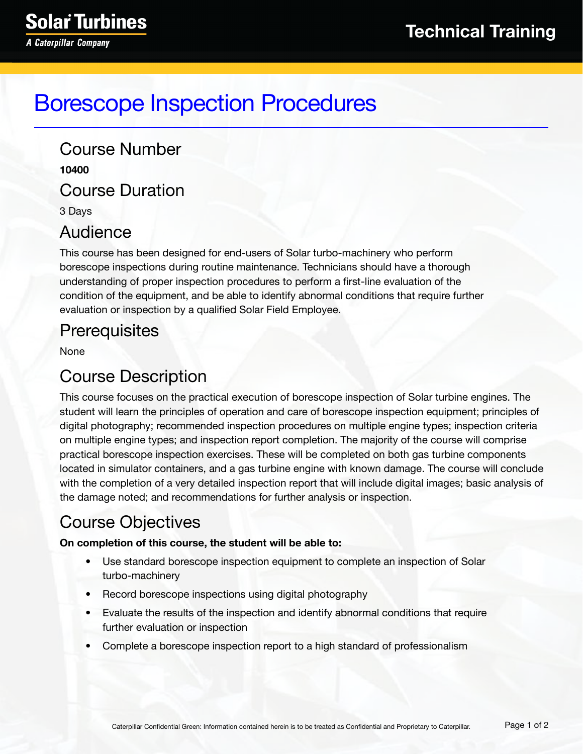# Borescope Inspection Procedures

Course Number **10400** Course Duration 3 Days

#### Audience

This course has been designed for end-users of Solar turbo-machinery who perform borescope inspections during routine maintenance. Technicians should have a thorough understanding of proper inspection procedures to perform a first-line evaluation of the condition of the equipment, and be able to identify abnormal conditions that require further evaluation or inspection by a qualified Solar Field Employee.

# **Prerequisites**

None

# Course Description

This course focuses on the practical execution of borescope inspection of Solar turbine engines. The student will learn the principles of operation and care of borescope inspection equipment; principles of digital photography; recommended inspection procedures on multiple engine types; inspection criteria on multiple engine types; and inspection report completion. The majority of the course will comprise practical borescope inspection exercises. These will be completed on both gas turbine components located in simulator containers, and a gas turbine engine with known damage. The course will conclude with the completion of a very detailed inspection report that will include digital images; basic analysis of the damage noted; and recommendations for further analysis or inspection.

# Course Objectives

#### **On completion of this course, the student will be able to:**

- Use standard borescope inspection equipment to complete an inspection of Solar turbo-machinery
- Record borescope inspections using digital photography
- Evaluate the results of the inspection and identify abnormal conditions that require further evaluation or inspection
- Complete a borescope inspection report to a high standard of professionalism